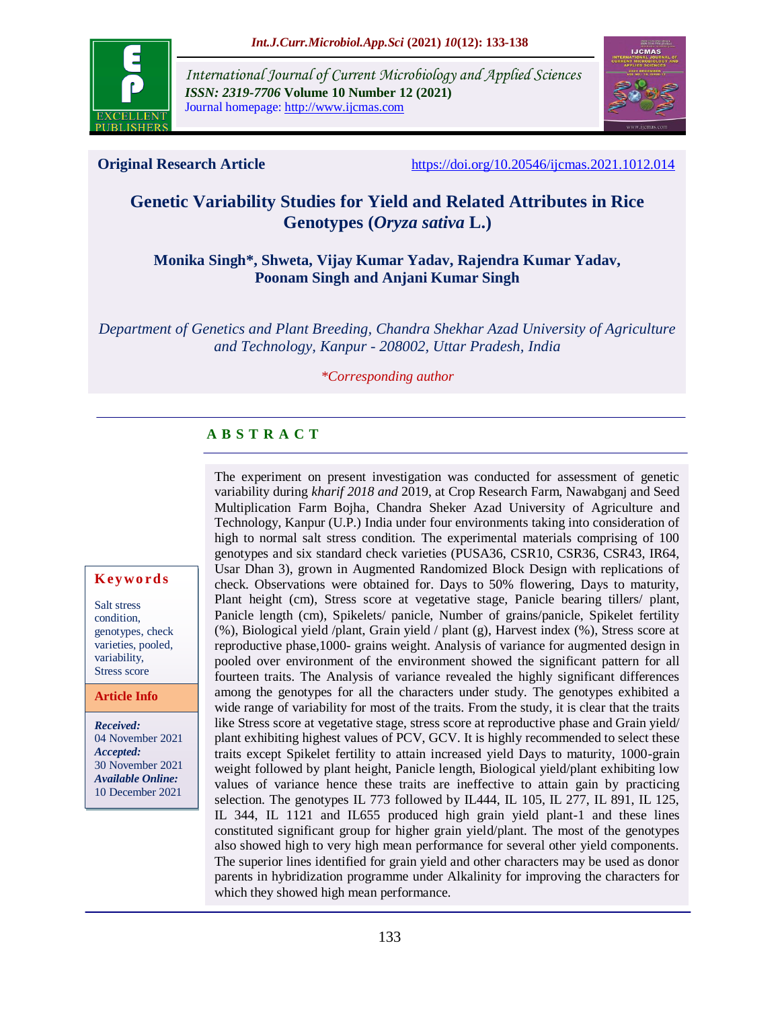

*International Journal of Current Microbiology and Applied Sciences ISSN: 2319-7706* **Volume 10 Number 12 (2021)**  Journal homepage: http://www.ijcmas.com



**Original Research Article** <https://doi.org/10.20546/ijcmas.2021.1012.014>

# **Genetic Variability Studies for Yield and Related Attributes in Rice Genotypes (***Oryza sativa* **L.)**

#### **Monika Singh\*, Shweta, Vijay Kumar Yadav, Rajendra Kumar Yadav, Poonam Singh and Anjani Kumar Singh**

*Department of Genetics and Plant Breeding, Chandra Shekhar Azad University of Agriculture and Technology, Kanpur - 208002, Uttar Pradesh, India*

#### *\*Corresponding author*

# **A B S T R A C T**

The experiment on present investigation was conducted for assessment of genetic variability during *kharif 2018 and* 2019, at Crop Research Farm, Nawabganj and Seed Multiplication Farm Bojha, Chandra Sheker Azad University of Agriculture and Technology, Kanpur (U.P.) India under four environments taking into consideration of high to normal salt stress condition. The experimental materials comprising of 100 genotypes and six standard check varieties (PUSA36, CSR10, CSR36, CSR43, IR64, Usar Dhan 3), grown in Augmented Randomized Block Design with replications of check. Observations were obtained for. Days to 50% flowering, Days to maturity, Plant height (cm), Stress score at vegetative stage, Panicle bearing tillers/ plant, Panicle length (cm), Spikelets/ panicle, Number of grains/panicle, Spikelet fertility (%), Biological yield /plant, Grain yield / plant (g), Harvest index (%), Stress score at reproductive phase,1000- grains weight. Analysis of variance for augmented design in pooled over environment of the environment showed the significant pattern for all fourteen traits. The Analysis of variance revealed the highly significant differences among the genotypes for all the characters under study. The genotypes exhibited a wide range of variability for most of the traits. From the study, it is clear that the traits like Stress score at vegetative stage, stress score at reproductive phase and Grain yield/ plant exhibiting highest values of PCV, GCV. It is highly recommended to select these traits except Spikelet fertility to attain increased yield Days to maturity, 1000-grain weight followed by plant height, Panicle length, Biological yield/plant exhibiting low values of variance hence these traits are ineffective to attain gain by practicing selection. The genotypes IL 773 followed by IL444, IL 105, IL 277, IL 891, IL 125, IL 344, IL 1121 and IL655 produced high grain yield plant-1 and these lines constituted significant group for higher grain yield/plant. The most of the genotypes also showed high to very high mean performance for several other yield components. The superior lines identified for grain yield and other characters may be used as donor parents in hybridization programme under Alkalinity for improving the characters for which they showed high mean performance.

#### **K ey w o rd s**

Salt stress condition, genotypes, check varieties, pooled, variability, Stress score

**Article Info**

*Received:*  04 November 2021 *Accepted:*  30 November 2021 *Available Online:* 10 December 2021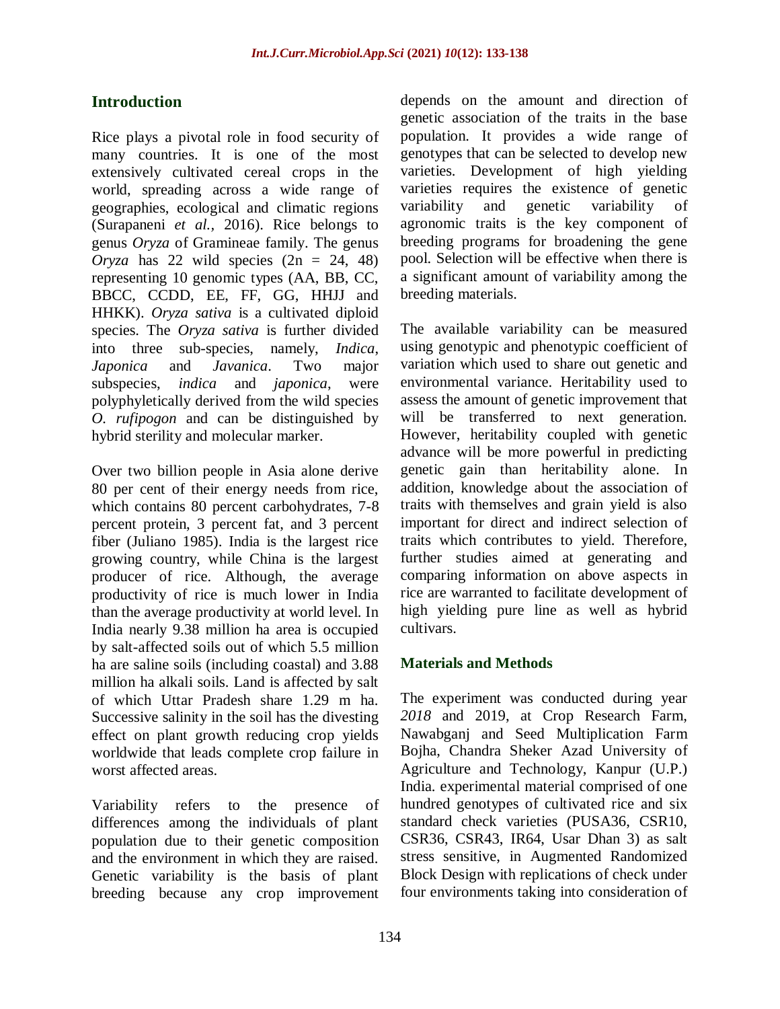## **Introduction**

Rice plays a pivotal role in food security of many countries. It is one of the most extensively cultivated cereal crops in the world, spreading across a wide range of geographies, ecological and climatic regions (Surapaneni *et al.,* 2016). Rice belongs to genus *Oryza* of Gramineae family. The genus *Oryza* has 22 wild species  $(2n = 24, 48)$ representing 10 genomic types (AA, BB, CC, BBCC, CCDD, EE, FF, GG, HHJJ and HHKK). *Oryza sativa* is a cultivated diploid species. The *Oryza sativa* is further divided into three sub-species, namely, *Indica*, *Japonica* and *Javanica*. Two major subspecies, *indica* and *japonica*, were polyphyletically derived from the wild species *O. rufipogon* and can be distinguished by hybrid sterility and molecular marker.

Over two billion people in Asia alone derive 80 per cent of their energy needs from rice, which contains 80 percent carbohydrates, 7-8 percent protein, 3 percent fat, and 3 percent fiber (Juliano 1985). India is the largest rice growing country, while China is the largest producer of rice. Although, the average productivity of rice is much lower in India than the average productivity at world level. In India nearly 9.38 million ha area is occupied by salt-affected soils out of which 5.5 million ha are saline soils (including coastal) and 3.88 million ha alkali soils. Land is affected by salt of which Uttar Pradesh share 1.29 m ha. Successive salinity in the soil has the divesting effect on plant growth reducing crop yields worldwide that leads complete crop failure in worst affected areas.

Variability refers to the presence of differences among the individuals of plant population due to their genetic composition and the environment in which they are raised. Genetic variability is the basis of plant breeding because any crop improvement

depends on the amount and direction of genetic association of the traits in the base population. It provides a wide range of genotypes that can be selected to develop new varieties. Development of high yielding varieties requires the existence of genetic variability and genetic variability of agronomic traits is the key component of breeding programs for broadening the gene pool. Selection will be effective when there is a significant amount of variability among the breeding materials.

The available variability can be measured using genotypic and phenotypic coefficient of variation which used to share out genetic and environmental variance. Heritability used to assess the amount of genetic improvement that will be transferred to next generation. However, heritability coupled with genetic advance will be more powerful in predicting genetic gain than heritability alone. In addition, knowledge about the association of traits with themselves and grain yield is also important for direct and indirect selection of traits which contributes to yield. Therefore, further studies aimed at generating and comparing information on above aspects in rice are warranted to facilitate development of high yielding pure line as well as hybrid cultivars.

#### **Materials and Methods**

The experiment was conducted during year *2018* and 2019, at Crop Research Farm, Nawabganj and Seed Multiplication Farm Bojha, Chandra Sheker Azad University of Agriculture and Technology, Kanpur (U.P.) India. experimental material comprised of one hundred genotypes of cultivated rice and six standard check varieties (PUSA36, CSR10, CSR36, CSR43, IR64, Usar Dhan 3) as salt stress sensitive, in Augmented Randomized Block Design with replications of check under four environments taking into consideration of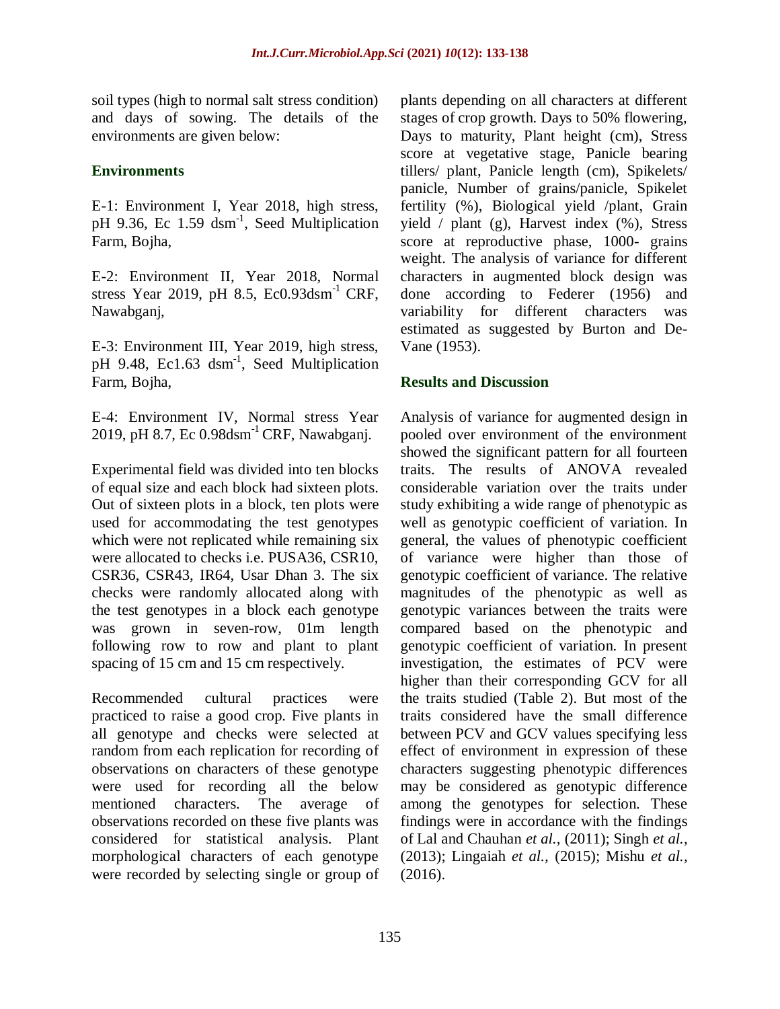soil types (high to normal salt stress condition) and days of sowing. The details of the environments are given below:

#### **Environments**

E-1: Environment I, Year 2018, high stress, pH 9.36, Ec 1.59 dsm<sup>-1</sup>, Seed Multiplication Farm, Bojha,

E-2: Environment II, Year 2018, Normal stress Year 2019, pH 8.5,  $Ec0.93$ dsm<sup>-1</sup> CRF, Nawabganj,

E-3: Environment III, Year 2019, high stress, pH 9.48, Ec1.63 dsm<sup>-1</sup>, Seed Multiplication Farm, Bojha,

E-4: Environment IV, Normal stress Year 2019, pH 8.7, Ec 0.98dsm<sup>-1</sup> CRF, Nawabganj.

Experimental field was divided into ten blocks of equal size and each block had sixteen plots. Out of sixteen plots in a block, ten plots were used for accommodating the test genotypes which were not replicated while remaining six were allocated to checks i.e. PUSA36, CSR10, CSR36, CSR43, IR64, Usar Dhan 3. The six checks were randomly allocated along with the test genotypes in a block each genotype was grown in seven-row, 01m length following row to row and plant to plant spacing of 15 cm and 15 cm respectively.

Recommended cultural practices were practiced to raise a good crop. Five plants in all genotype and checks were selected at random from each replication for recording of observations on characters of these genotype were used for recording all the below mentioned characters. The average of observations recorded on these five plants was considered for statistical analysis. Plant morphological characters of each genotype were recorded by selecting single or group of plants depending on all characters at different stages of crop growth. Days to 50% flowering, Days to maturity, Plant height (cm), Stress score at vegetative stage, Panicle bearing tillers/ plant, Panicle length (cm), Spikelets/ panicle, Number of grains/panicle, Spikelet fertility (%), Biological yield /plant, Grain yield  $/$  plant (g), Harvest index  $(\%)$ , Stress score at reproductive phase, 1000- grains weight. The analysis of variance for different characters in augmented block design was done according to Federer (1956) and variability for different characters was estimated as suggested by Burton and De-Vane (1953).

## **Results and Discussion**

Analysis of variance for augmented design in pooled over environment of the environment showed the significant pattern for all fourteen traits. The results of ANOVA revealed considerable variation over the traits under study exhibiting a wide range of phenotypic as well as genotypic coefficient of variation. In general, the values of phenotypic coefficient of variance were higher than those of genotypic coefficient of variance. The relative magnitudes of the phenotypic as well as genotypic variances between the traits were compared based on the phenotypic and genotypic coefficient of variation. In present investigation, the estimates of PCV were higher than their corresponding GCV for all the traits studied (Table 2). But most of the traits considered have the small difference between PCV and GCV values specifying less effect of environment in expression of these characters suggesting phenotypic differences may be considered as genotypic difference among the genotypes for selection. These findings were in accordance with the findings of Lal and Chauhan *et al.,* (2011); Singh *et al.,*  (2013); Lingaiah *et al.,* (2015); Mishu *et al.,*  (2016).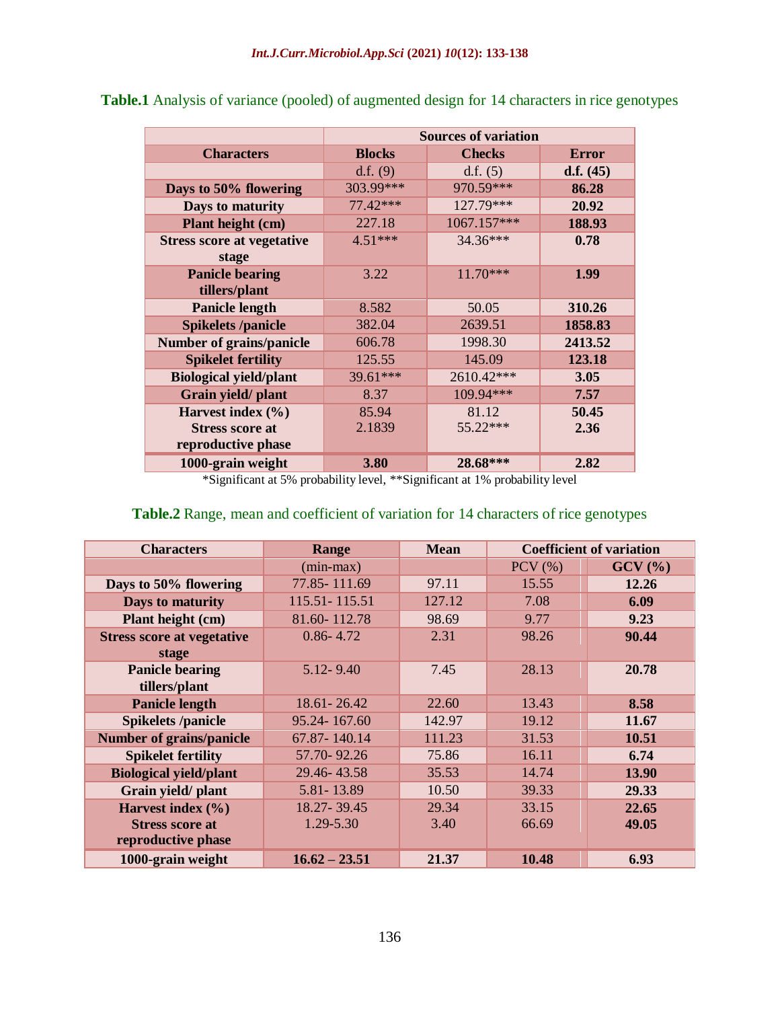|                                   | <b>Sources of variation</b> |               |              |  |  |
|-----------------------------------|-----------------------------|---------------|--------------|--|--|
| <b>Characters</b>                 | <b>Blocks</b>               | <b>Checks</b> | <b>Error</b> |  |  |
|                                   | d.f. $(9)$                  | d.f. $(5)$    | d.f. $(45)$  |  |  |
| Days to 50% flowering             | 303.99***                   | 970.59***     | 86.28        |  |  |
| Days to maturity                  | 77.42***                    | 127.79***     | 20.92        |  |  |
| Plant height (cm)                 | 227.18                      | 1067.157***   | 188.93       |  |  |
| <b>Stress score at vegetative</b> | $4.51***$                   | 34.36***      | 0.78         |  |  |
| stage                             |                             |               |              |  |  |
| <b>Panicle bearing</b>            | 3.22                        | $11.70***$    | 1.99         |  |  |
| tillers/plant                     |                             |               |              |  |  |
| <b>Panicle length</b>             | 8.582                       | 50.05         | 310.26       |  |  |
| <b>Spikelets /panicle</b>         | 382.04                      | 2639.51       | 1858.83      |  |  |
| <b>Number of grains/panicle</b>   | 606.78                      | 1998.30       | 2413.52      |  |  |
| <b>Spikelet fertility</b>         | 125.55                      | 145.09        | 123.18       |  |  |
| <b>Biological yield/plant</b>     | 39.61***                    | 2610.42***    | 3.05         |  |  |
| Grain yield/plant                 | 8.37                        | 109.94***     | 7.57         |  |  |
| Harvest index $(\% )$             | 85.94                       | 81.12         | 50.45        |  |  |
| <b>Stress score at</b>            | 2.1839                      | $55.22***$    | 2.36         |  |  |
| reproductive phase                |                             |               |              |  |  |
| 1000-grain weight                 | 3.80                        | 28.68***      | 2.82         |  |  |

**Table.1** Analysis of variance (pooled) of augmented design for 14 characters in rice genotypes

\*Significant at 5% probability level, \*\*Significant at 1% probability level

## **Table.2** Range, mean and coefficient of variation for 14 characters of rice genotypes

| <b>Characters</b>                 | Range           | <b>Mean</b> | <b>Coefficient of variation</b> |        |
|-----------------------------------|-----------------|-------------|---------------------------------|--------|
|                                   | $(min-max)$     |             | $PCV$ $(\% )$                   | GCV(%) |
| Days to 50% flowering             | 77.85 - 111.69  | 97.11       | 15.55                           | 12.26  |
| Days to maturity                  | 115.51 - 115.51 | 127.12      | 7.08                            | 6.09   |
| Plant height (cm)                 | 81.60-112.78    | 98.69       | 9.77                            | 9.23   |
| <b>Stress score at vegetative</b> | $0.86 - 4.72$   | 2.31        | 98.26                           | 90.44  |
| stage                             |                 |             |                                 |        |
| <b>Panicle bearing</b>            | $5.12 - 9.40$   | 7.45        | 28.13                           | 20.78  |
| tillers/plant                     |                 |             |                                 |        |
| <b>Panicle length</b>             | $18.61 - 26.42$ | 22.60       | 13.43                           | 8.58   |
| <b>Spikelets /panicle</b>         | 95.24-167.60    | 142.97      | 19.12                           | 11.67  |
| <b>Number of grains/panicle</b>   | 67.87-140.14    | 111.23      | 31.53                           | 10.51  |
| <b>Spikelet fertility</b>         | 57.70-92.26     | 75.86       | 16.11                           | 6.74   |
| <b>Biological yield/plant</b>     | 29.46-43.58     | 35.53       | 14.74                           | 13.90  |
| Grain yield/ plant                | 5.81 - 13.89    | 10.50       | 39.33                           | 29.33  |
| Harvest index $(\% )$             | 18.27-39.45     | 29.34       | 33.15                           | 22.65  |
| <b>Stress score at</b>            | 1.29-5.30       | 3.40        | 66.69                           | 49.05  |
| reproductive phase                |                 |             |                                 |        |
| 1000-grain weight                 | $16.62 - 23.51$ | 21.37       | 10.48                           | 6.93   |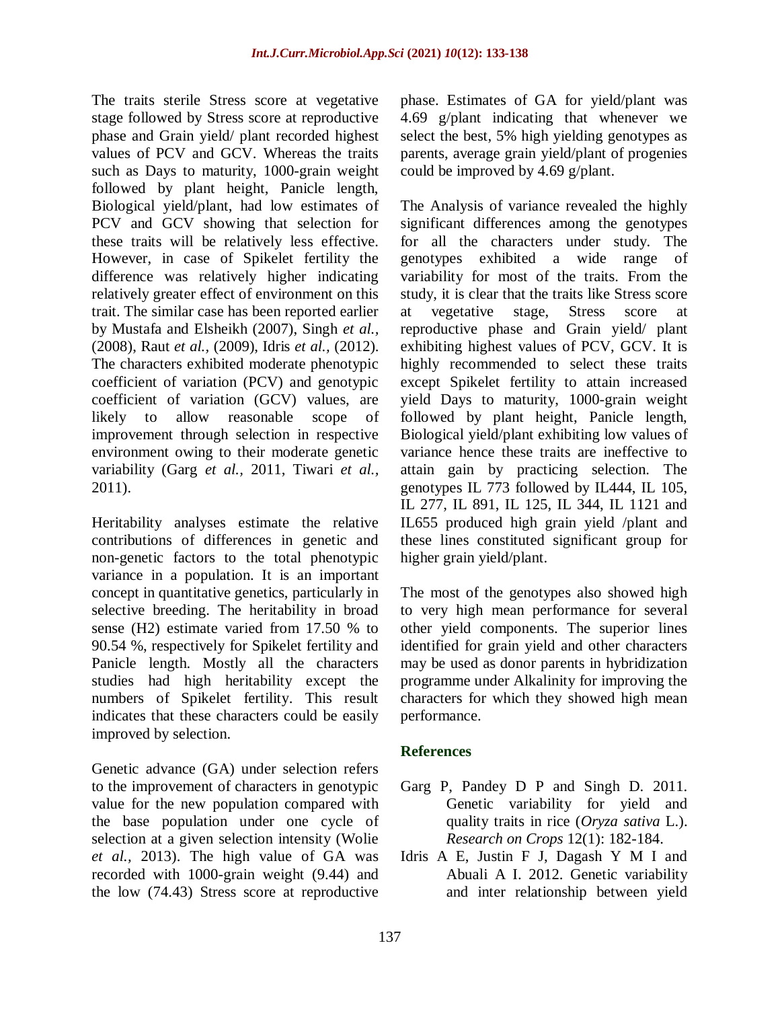The traits sterile Stress score at vegetative stage followed by Stress score at reproductive phase and Grain yield/ plant recorded highest values of PCV and GCV. Whereas the traits such as Days to maturity, 1000-grain weight followed by plant height, Panicle length, Biological yield/plant, had low estimates of PCV and GCV showing that selection for these traits will be relatively less effective. However, in case of Spikelet fertility the difference was relatively higher indicating relatively greater effect of environment on this trait. The similar case has been reported earlier by Mustafa and Elsheikh (2007), Singh *et al.,* (2008), Raut *et al.,* (2009), Idris *et al.,* (2012). The characters exhibited moderate phenotypic coefficient of variation (PCV) and genotypic coefficient of variation (GCV) values, are likely to allow reasonable scope of improvement through selection in respective environment owing to their moderate genetic variability (Garg *et al.,* 2011, Tiwari *et al.,* 2011).

Heritability analyses estimate the relative contributions of differences in genetic and non-genetic factors to the total phenotypic variance in a population. It is an important concept in quantitative genetics, particularly in selective breeding. The heritability in broad sense (H2) estimate varied from 17.50 % to 90.54 %, respectively for Spikelet fertility and Panicle length. Mostly all the characters studies had high heritability except the numbers of Spikelet fertility. This result indicates that these characters could be easily improved by selection.

Genetic advance (GA) under selection refers to the improvement of characters in genotypic value for the new population compared with the base population under one cycle of selection at a given selection intensity (Wolie *et al.,* 2013). The high value of GA was recorded with 1000-grain weight (9.44) and the low (74.43) Stress score at reproductive

phase. Estimates of GA for yield/plant was 4.69 g/plant indicating that whenever we select the best, 5% high yielding genotypes as parents, average grain yield/plant of progenies could be improved by 4.69 g/plant.

The Analysis of variance revealed the highly significant differences among the genotypes for all the characters under study. The genotypes exhibited a wide range of variability for most of the traits. From the study, it is clear that the traits like Stress score at vegetative stage, Stress score at reproductive phase and Grain yield/ plant exhibiting highest values of PCV, GCV. It is highly recommended to select these traits except Spikelet fertility to attain increased yield Days to maturity, 1000-grain weight followed by plant height, Panicle length, Biological yield/plant exhibiting low values of variance hence these traits are ineffective to attain gain by practicing selection. The genotypes IL 773 followed by IL444, IL 105, IL 277, IL 891, IL 125, IL 344, IL 1121 and IL655 produced high grain yield /plant and these lines constituted significant group for higher grain yield/plant.

The most of the genotypes also showed high to very high mean performance for several other yield components. The superior lines identified for grain yield and other characters may be used as donor parents in hybridization programme under Alkalinity for improving the characters for which they showed high mean performance.

#### **References**

- Garg P, Pandey D P and Singh D. 2011. Genetic variability for yield and quality traits in rice (*Oryza sativa* L.). *Research on Crops* 12(1): 182-184.
- Idris A E, Justin F J, Dagash Y M I and Abuali A I. 2012. Genetic variability and inter relationship between yield